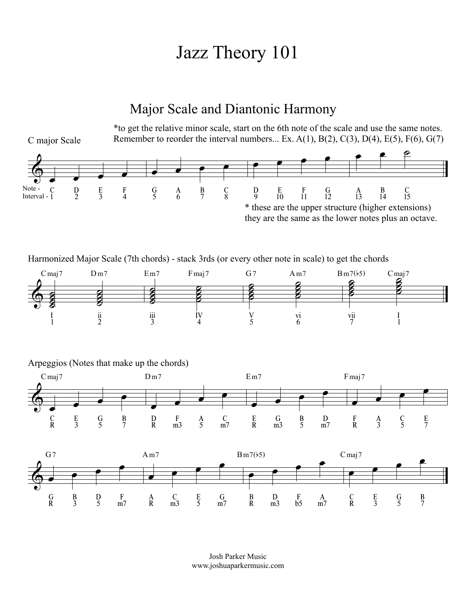## Jazz Theory 101

## Major Scale and Diantonic Harmony



Josh Parker Music www.joshuaparkermusic.com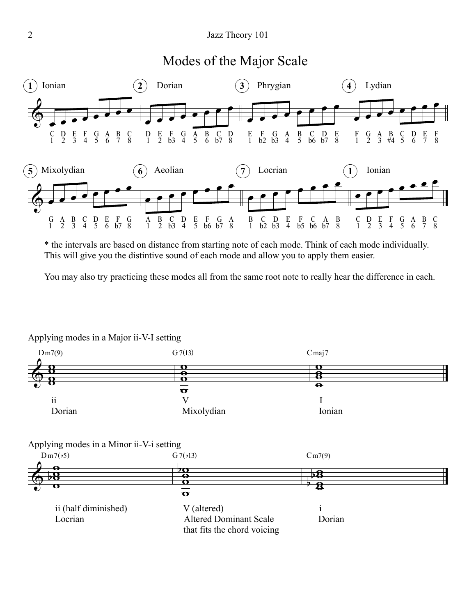## Modes of the Major Scale



\* the intervals are based on distance from starting note of each mode. Think of each mode individually. This will give you the distintive sound of each mode and allow you to apply them easier.

You may also try practicing these modes all from the same root note to really hear the difference in each.



Applying modes in a Major ii-V-I setting